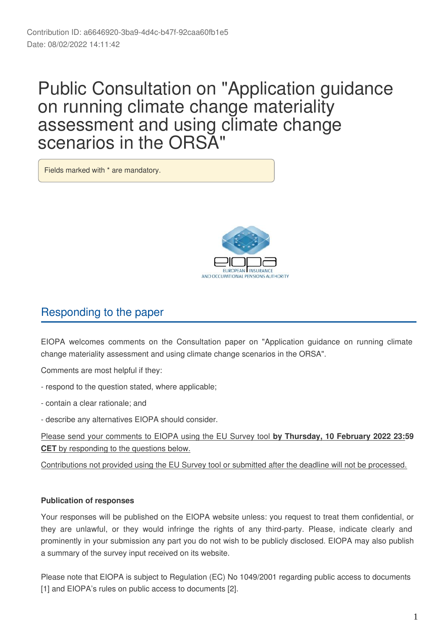# Public Consultation on "Application guidance on running climate change materiality assessment and using climate change scenarios in the ORSA"

Fields marked with \* are mandatory.



# Responding to the paper

EIOPA welcomes comments on the Consultation paper on "Application guidance on running climate change materiality assessment and using climate change scenarios in the ORSA".

Comments are most helpful if they:

- respond to the question stated, where applicable;
- contain a clear rationale; and
- describe any alternatives EIOPA should consider.

Please send your comments to EIOPA using the EU Survey tool **by Thursday, 10 February 2022 23:59 CET** by responding to the questions below.

Contributions not provided using the EU Survey tool or submitted after the deadline will not be processed.

# **Publication of responses**

Your responses will be published on the EIOPA website unless: you request to treat them confidential, or they are unlawful, or they would infringe the rights of any third-party. Please, indicate clearly and prominently in your submission any part you do not wish to be publicly disclosed. EIOPA may also publish a summary of the survey input received on its website.

Please note that EIOPA is subject to Regulation (EC) No 1049/2001 regarding public access to documents [1] and EIOPA's rules on public access to documents [2].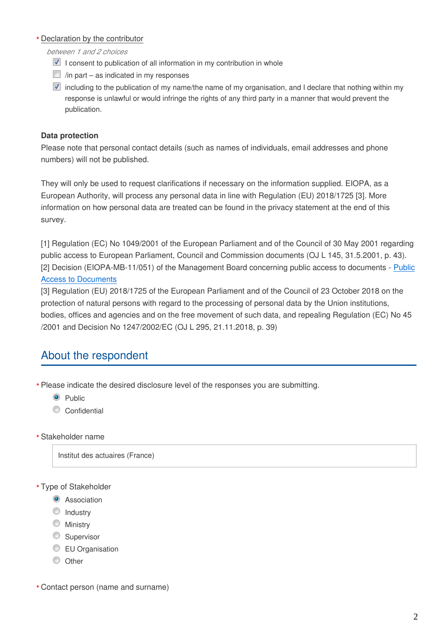## Declaration by the contributor **\***

*between 1 and 2 choices*

- $\blacksquare$  I consent to publication of all information in my contribution in whole
- $\Box$  /in part as indicated in my responses
- $\blacksquare$  including to the publication of my name/the name of my organisation, and I declare that nothing within my response is unlawful or would infringe the rights of any third party in a manner that would prevent the publication.

# **Data protection**

Please note that personal contact details (such as names of individuals, email addresses and phone numbers) will not be published.

They will only be used to request clarifications if necessary on the information supplied. EIOPA, as a European Authority, will process any personal data in line with Regulation (EU) 2018/1725 [3]. More information on how personal data are treated can be found in the privacy statement at the end of this survey.

[1] Regulation (EC) No 1049/2001 of the European Parliament and of the Council of 30 May 2001 regarding public access to European Parliament, Council and Commission documents (OJ L 145, 31.5.2001, p. 43). [2] Decision (EIOPA-MB-11/051) of the Management Board concerning public access to documents - [Public](https://www.eiopa.europa.eu/sites/default/files/publications/administrative/public-access-eiopa-mb-11-051.pdf) [Access to Documents](https://www.eiopa.europa.eu/sites/default/files/publications/administrative/public-access-eiopa-mb-11-051.pdf)

[3] Regulation (EU) 2018/1725 of the European Parliament and of the Council of 23 October 2018 on the protection of natural persons with regard to the processing of personal data by the Union institutions, bodies, offices and agencies and on the free movement of such data, and repealing Regulation (EC) No 45 /2001 and Decision No 1247/2002/EC (OJ L 295, 21.11.2018, p. 39)

# About the respondent

Please indicate the desired disclosure level of the responses you are submitting. **\***

- <sup>O</sup> Public
- Confidential
- Stakeholder name **\***

Institut des actuaires (France)

Type of Stakeholder **\***

- **O** Association
- **O** Industry
- **Ministry**
- Supervisor
- **EU** Organisation
- $\circ$  Other

Contact person (name and surname) **\***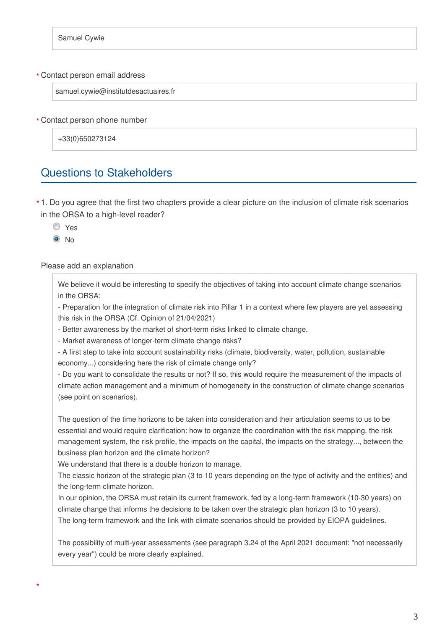#### Contact person email address **\***

samuel.cywie@institutdesactuaires.fr

Contact person phone number **\***

+33(0)650273124

# Questions to Stakeholders

1. Do you agree that the first two chapters provide a clear picture on the inclusion of climate risk scenarios **\*** in the ORSA to a high-level reader?

O Yes

<sup>O</sup>No

#### Please add an explanation

We believe it would be interesting to specify the objectives of taking into account climate change scenarios in the ORSA:

- Preparation for the integration of climate risk into Pillar 1 in a context where few players are yet assessing this risk in the ORSA (Cf. Opinion of 21/04/2021)

- Better awareness by the market of short-term risks linked to climate change.

- Market awareness of longer-term climate change risks?

- A first step to take into account sustainability risks (climate, biodiversity, water, pollution, sustainable economy...) considering here the risk of climate change only?

- Do you want to consolidate the results or not? If so, this would require the measurement of the impacts of climate action management and a minimum of homogeneity in the construction of climate change scenarios (see point on scenarios).

The question of the time horizons to be taken into consideration and their articulation seems to us to be essential and would require clarification: how to organize the coordination with the risk mapping, the risk management system, the risk profile, the impacts on the capital, the impacts on the strategy..., between the business plan horizon and the climate horizon?

We understand that there is a double horizon to manage.

The classic horizon of the strategic plan (3 to 10 years depending on the type of activity and the entities) and the long-term climate horizon.

In our opinion, the ORSA must retain its current framework, fed by a long-term framework (10-30 years) on climate change that informs the decisions to be taken over the strategic plan horizon (3 to 10 years). The long-term framework and the link with climate scenarios should be provided by EIOPA guidelines.

The possibility of multi-year assessments (see paragraph 3.24 of the April 2021 document: "not necessarily every year") could be more clearly explained.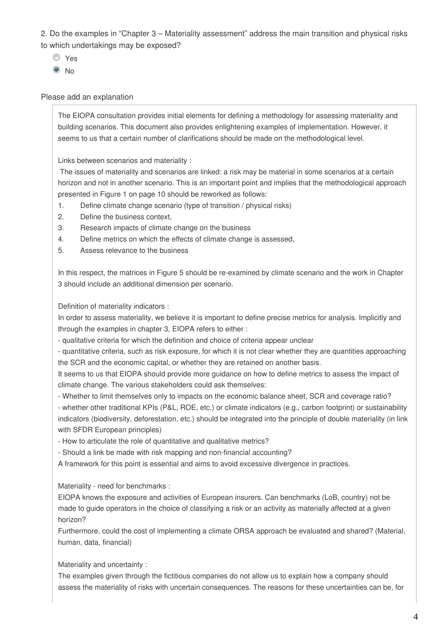2. Do the examples in "Chapter 3 – Materiality assessment" address the main transition and physical risks to which undertakings may be exposed?

- Yes
- <sup>O</sup>No

### Please add an explanation

The EIOPA consultation provides initial elements for defining a methodology for assessing materiality and building scenarios. This document also provides enlightening examples of implementation. However, it seems to us that a certain number of clarifications should be made on the methodological level.

Links between scenarios and materiality :

 The issues of materiality and scenarios are linked: a risk may be material in some scenarios at a certain horizon and not in another scenario. This is an important point and implies that the methodological approach presented in Figure 1 on page 10 should be reworked as follows:

- 1. Define climate change scenario (type of transition / physical risks)
- 2. Define the business context,
- 3. Research impacts of climate change on the business
- 4. Define metrics on which the effects of climate change is assessed,
- 5. Assess relevance to the business

In this respect, the matrices in Figure 5 should be re-examined by climate scenario and the work in Chapter 3 should include an additional dimension per scenario.

Definition of materiality indicators :

In order to assess materiality, we believe it is important to define precise metrics for analysis. Implicitly and through the examples in chapter 3, EIOPA refers to either :

- qualitative criteria for which the definition and choice of criteria appear unclear

- quantitative criteria, such as risk exposure, for which it is not clear whether they are quantities approaching the SCR and the economic capital, or whether they are retained on another basis.

It seems to us that EIOPA should provide more guidance on how to define metrics to assess the impact of climate change. The various stakeholders could ask themselves:

- Whether to limit themselves only to impacts on the economic balance sheet, SCR and coverage ratio? - whether other traditional KPIs (P&L, ROE, etc.) or climate indicators (e.g., carbon footprint) or sustainability indicators (biodiversity, deforestation, etc.) should be integrated into the principle of double materiality (in link with SFDR European principles)

- How to articulate the role of quantitative and qualitative metrics?

- Should a link be made with risk mapping and non-financial accounting?

A framework for this point is essential and aims to avoid excessive divergence in practices.

Materiality - need for benchmarks :

EIOPA knows the exposure and activities of European insurers. Can benchmarks (LoB, country) not be made to guide operators in the choice of classifying a risk or an activity as materially affected at a given horizon?

Furthermore, could the cost of implementing a climate ORSA approach be evaluated and shared? (Material, human, data, financial)

Materiality and uncertainty :

The examples given through the fictitious companies do not allow us to explain how a company should assess the materiality of risks with uncertain consequences. The reasons for these uncertainties can be, for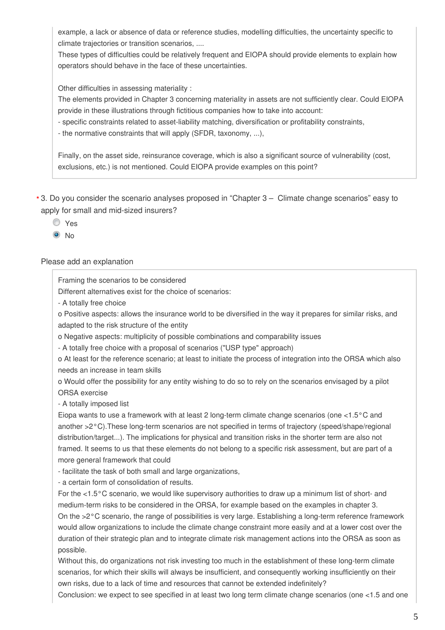example, a lack or absence of data or reference studies, modelling difficulties, the uncertainty specific to climate trajectories or transition scenarios, ....

These types of difficulties could be relatively frequent and EIOPA should provide elements to explain how operators should behave in the face of these uncertainties.

Other difficulties in assessing materiality :

The elements provided in Chapter 3 concerning materiality in assets are not sufficiently clear. Could EIOPA provide in these illustrations through fictitious companies how to take into account:

- specific constraints related to asset-liability matching, diversification or profitability constraints,

- the normative constraints that will apply (SFDR, taxonomy, ...),

Finally, on the asset side, reinsurance coverage, which is also a significant source of vulnerability (cost, exclusions, etc.) is not mentioned. Could EIOPA provide examples on this point?

3. Do you consider the scenario analyses proposed in "Chapter 3 – Climate change scenarios" easy to **\***apply for small and mid-sized insurers?

Yes

<sup>O</sup>No

#### Please add an explanation

Framing the scenarios to be considered

Different alternatives exist for the choice of scenarios:

- A totally free choice

o Positive aspects: allows the insurance world to be diversified in the way it prepares for similar risks, and adapted to the risk structure of the entity

o Negative aspects: multiplicity of possible combinations and comparability issues

- A totally free choice with a proposal of scenarios ("USP type" approach)

o At least for the reference scenario; at least to initiate the process of integration into the ORSA which also needs an increase in team skills

o Would offer the possibility for any entity wishing to do so to rely on the scenarios envisaged by a pilot ORSA exercise

- A totally imposed list

Eiopa wants to use a framework with at least 2 long-term climate change scenarios (one <1.5°C and another >2°C).These long-term scenarios are not specified in terms of trajectory (speed/shape/regional distribution/target...). The implications for physical and transition risks in the shorter term are also not framed. It seems to us that these elements do not belong to a specific risk assessment, but are part of a more general framework that could

- facilitate the task of both small and large organizations,

- a certain form of consolidation of results.

For the <1.5°C scenario, we would like supervisory authorities to draw up a minimum list of short- and medium-term risks to be considered in the ORSA, for example based on the examples in chapter 3. On the >2°C scenario, the range of possibilities is very large. Establishing a long-term reference framework would allow organizations to include the climate change constraint more easily and at a lower cost over the duration of their strategic plan and to integrate climate risk management actions into the ORSA as soon as possible.

Without this, do organizations not risk investing too much in the establishment of these long-term climate scenarios, for which their skills will always be insufficient, and consequently working insufficiently on their own risks, due to a lack of time and resources that cannot be extended indefinitely?

Conclusion: we expect to see specified in at least two long term climate change scenarios (one <1.5 and one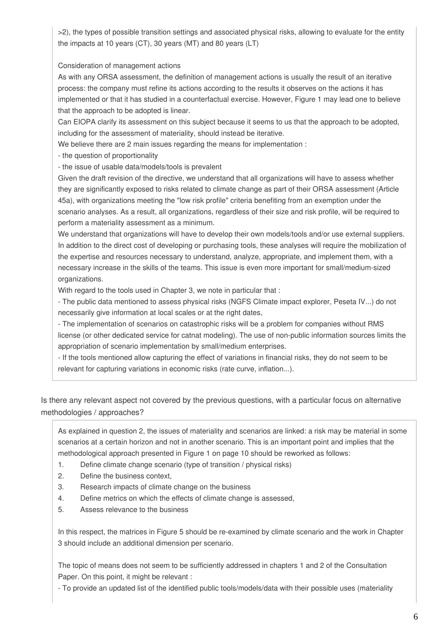>2), the types of possible transition settings and associated physical risks, allowing to evaluate for the entity the impacts at 10 years (CT), 30 years (MT) and 80 years (LT)

Consideration of management actions

As with any ORSA assessment, the definition of management actions is usually the result of an iterative process: the company must refine its actions according to the results it observes on the actions it has implemented or that it has studied in a counterfactual exercise. However, Figure 1 may lead one to believe that the approach to be adopted is linear.

Can EIOPA clarify its assessment on this subject because it seems to us that the approach to be adopted, including for the assessment of materiality, should instead be iterative.

We believe there are 2 main issues regarding the means for implementation :

- the question of proportionality

- the issue of usable data/models/tools is prevalent

Given the draft revision of the directive, we understand that all organizations will have to assess whether they are significantly exposed to risks related to climate change as part of their ORSA assessment (Article 45a), with organizations meeting the "low risk profile" criteria benefiting from an exemption under the scenario analyses. As a result, all organizations, regardless of their size and risk profile, will be required to perform a materiality assessment as a minimum.

We understand that organizations will have to develop their own models/tools and/or use external suppliers. In addition to the direct cost of developing or purchasing tools, these analyses will require the mobilization of the expertise and resources necessary to understand, analyze, appropriate, and implement them, with a necessary increase in the skills of the teams. This issue is even more important for small/medium-sized organizations.

With regard to the tools used in Chapter 3, we note in particular that :

- The public data mentioned to assess physical risks (NGFS Climate impact explorer, Peseta IV...) do not necessarily give information at local scales or at the right dates,

- The implementation of scenarios on catastrophic risks will be a problem for companies without RMS license (or other dedicated service for catnat modeling). The use of non-public information sources limits the appropriation of scenario implementation by small/medium enterprises.

- If the tools mentioned allow capturing the effect of variations in financial risks, they do not seem to be relevant for capturing variations in economic risks (rate curve, inflation...).

Is there any relevant aspect not covered by the previous questions, with a particular focus on alternative methodologies / approaches?

As explained in question 2, the issues of materiality and scenarios are linked: a risk may be material in some scenarios at a certain horizon and not in another scenario. This is an important point and implies that the methodological approach presented in Figure 1 on page 10 should be reworked as follows:

- 1. Define climate change scenario (type of transition / physical risks)
- 2. Define the business context,
- 3. Research impacts of climate change on the business
- 4. Define metrics on which the effects of climate change is assessed,
- 5. Assess relevance to the business

In this respect, the matrices in Figure 5 should be re-examined by climate scenario and the work in Chapter 3 should include an additional dimension per scenario.

The topic of means does not seem to be sufficiently addressed in chapters 1 and 2 of the Consultation Paper. On this point, it might be relevant :

- To provide an updated list of the identified public tools/models/data with their possible uses (materiality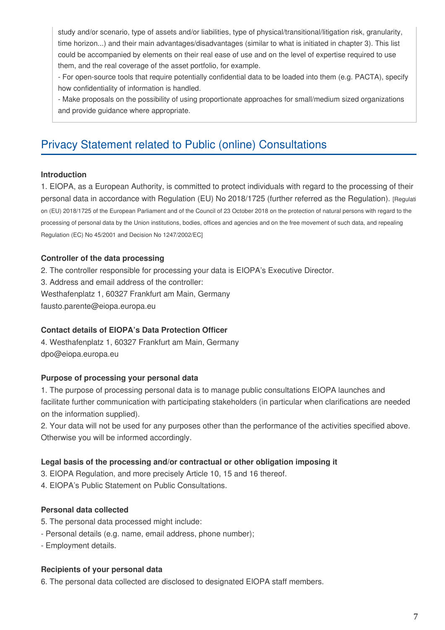study and/or scenario, type of assets and/or liabilities, type of physical/transitional/litigation risk, granularity, time horizon...) and their main advantages/disadvantages (similar to what is initiated in chapter 3). This list could be accompanied by elements on their real ease of use and on the level of expertise required to use them, and the real coverage of the asset portfolio, for example.

- For open-source tools that require potentially confidential data to be loaded into them (e.g. PACTA), specify how confidentiality of information is handled.

- Make proposals on the possibility of using proportionate approaches for small/medium sized organizations and provide guidance where appropriate.

# Privacy Statement related to Public (online) Consultations

#### **Introduction**

1. EIOPA, as a European Authority, is committed to protect individuals with regard to the processing of their personal data in accordance with Regulation (EU) No 2018/1725 (further referred as the Regulation). [Regulati on (EU) 2018/1725 of the European Parliament and of the Council of 23 October 2018 on the protection of natural persons with regard to the processing of personal data by the Union institutions, bodies, offices and agencies and on the free movement of such data, and repealing Regulation (EC) No 45/2001 and Decision No 1247/2002/EC]

# **Controller of the data processing**

2. The controller responsible for processing your data is EIOPA's Executive Director.

3. Address and email address of the controller:

Westhafenplatz 1, 60327 Frankfurt am Main, Germany

fausto.parente@eiopa.europa.eu

#### **Contact details of EIOPA's Data Protection Officer**

4. Westhafenplatz 1, 60327 Frankfurt am Main, Germany dpo@eiopa.europa.eu

#### **Purpose of processing your personal data**

1. The purpose of processing personal data is to manage public consultations EIOPA launches and facilitate further communication with participating stakeholders (in particular when clarifications are needed on the information supplied).

2. Your data will not be used for any purposes other than the performance of the activities specified above. Otherwise you will be informed accordingly.

#### **Legal basis of the processing and/or contractual or other obligation imposing it**

3. EIOPA Regulation, and more precisely Article 10, 15 and 16 thereof.

4. EIOPA's Public Statement on Public Consultations.

# **Personal data collected**

- 5. The personal data processed might include:
- Personal details (e.g. name, email address, phone number);
- Employment details.

#### **Recipients of your personal data**

6. The personal data collected are disclosed to designated EIOPA staff members.